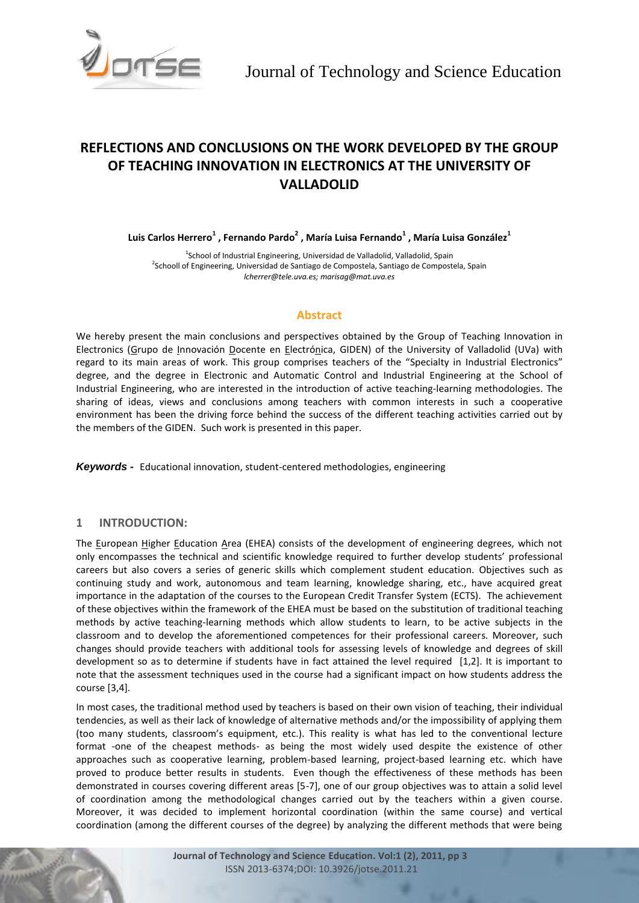

# **REFLECTIONS AND CONCLUSIONS ON THE WORK DEVELOPED BY THE GROUP OF TEACHING INNOVATION IN ELECTRONICS AT THE UNIVERSITY OF VALLADOLID**

**Luis Carlos Herrero<sup>1</sup> , Fernando Pardo<sup>2</sup> , María Luisa Fernando<sup>1</sup> , María Luisa González<sup>1</sup>**

<sup>1</sup>School of Industrial Engineering, Universidad de Valladolid, Valladolid, Spain <sup>2</sup>Schooll of Engineering, Universidad de Santiago de Compostela, Santiago de Compostela, Spain *lcherrer@tele.uva.es; marisag@mat.uva.es*

# **Abstract**

We hereby present the main conclusions and perspectives obtained by the Group of Teaching Innovation in Electronics (Grupo de Innovación Docente en Electrónica, GIDEN) of the University of Valladolid (UVa) with regard to its main areas of work. This group comprises teachers of the "Specialty in Industrial Electronics" degree, and the degree in Electronic and Automatic Control and Industrial Engineering at the School of Industrial Engineering, who are interested in the introduction of active teaching-learning methodologies. The sharing of ideas, views and conclusions among teachers with common interests in such a cooperative environment has been the driving force behind the success of the different teaching activities carried out by the members of the GIDEN. Such work is presented in this paper.

*Keywords -* Educational innovation, student-centered methodologies, engineering

# **1 INTRODUCTION:**

The European Higher Education Area (EHEA) consists of the development of engineering degrees, which not only encompasses the technical and scientific knowledge required to further develop students' professional careers but also covers a series of generic skills which complement student education. Objectives such as continuing study and work, autonomous and team learning, knowledge sharing, etc., have acquired great importance in the adaptation of the courses to the European Credit Transfer System (ECTS). The achievement of these objectives within the framework of the EHEA must be based on the substitution of traditional teaching methods by active teaching-learning methods which allow students to learn, to be active subjects in the classroom and to develop the aforementioned competences for their professional careers. Moreover, such changes should provide teachers with additional tools for assessing levels of knowledge and degrees of skill development so as to determine if students have in fact attained the level required [1,2]. It is important to note that the assessment techniques used in the course had a significant impact on how students address the course [3,4].

In most cases, the traditional method used by teachers is based on their own vision of teaching, their individual tendencies, as well as their lack of knowledge of alternative methods and/or the impossibility of applying them (too many students, classroom's equipment, etc.). This reality is what has led to the conventional lecture format -one of the cheapest methods- as being the most widely used despite the existence of other approaches such as cooperative learning, problem-based learning, project-based learning etc. which have proved to produce better results in students. Even though the effectiveness of these methods has been demonstrated in courses covering different areas [5-7], one of our group objectives was to attain a solid level of coordination among the methodological changes carried out by the teachers within a given course. Moreover, it was decided to implement horizontal coordination (within the same course) and vertical coordination (among the different courses of the degree) by analyzing the different methods that were being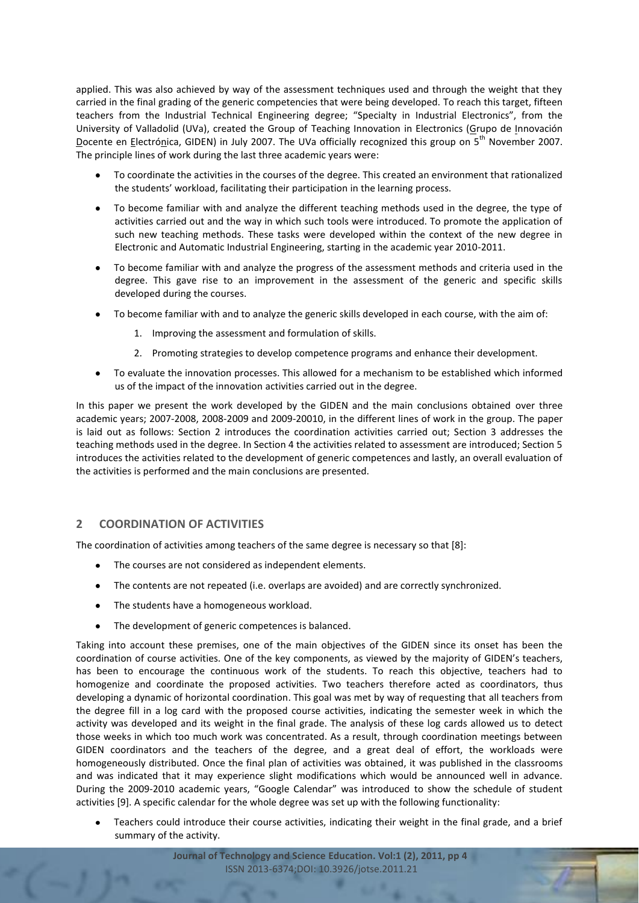applied. This was also achieved by way of the assessment techniques used and through the weight that they carried in the final grading of the generic competencies that were being developed. To reach this target, fifteen teachers from the Industrial Technical Engineering degree; "Specialty in Industrial Electronics", from the University of Valladolid (UVa), created the Group of Teaching Innovation in Electronics (Grupo de Innovación Docente en Electrónica, GIDEN) in July 2007. The UVa officially recognized this group on 5<sup>th</sup> November 2007. The principle lines of work during the last three academic years were:

- $\bullet$ To coordinate the activities in the courses of the degree. This created an environment that rationalized the students' workload, facilitating their participation in the learning process.
- To become familiar with and analyze the different teaching methods used in the degree, the type of activities carried out and the way in which such tools were introduced. To promote the application of such new teaching methods. These tasks were developed within the context of the new degree in Electronic and Automatic Industrial Engineering, starting in the academic year 2010-2011.
- To become familiar with and analyze the progress of the assessment methods and criteria used in the degree. This gave rise to an improvement in the assessment of the generic and specific skills developed during the courses.
- To become familiar with and to analyze the generic skills developed in each course, with the aim of:
	- 1. Improving the assessment and formulation of skills.
	- 2. Promoting strategies to develop competence programs and enhance their development.
- To evaluate the innovation processes. This allowed for a mechanism to be established which informed us of the impact of the innovation activities carried out in the degree.

In this paper we present the work developed by the GIDEN and the main conclusions obtained over three academic years; 2007-2008, 2008-2009 and 2009-20010, in the different lines of work in the group. The paper is laid out as follows: Section 2 introduces the coordination activities carried out; Section 3 addresses the teaching methods used in the degree. In Section 4 the activities related to assessment are introduced; Section 5 introduces the activities related to the development of generic competences and lastly, an overall evaluation of the activities is performed and the main conclusions are presented.

# **2 COORDINATION OF ACTIVITIES**

The coordination of activities among teachers of the same degree is necessary so that [8]:

- The courses are not considered as independent elements.
- The contents are not repeated (i.e. overlaps are avoided) and are correctly synchronized.  $\bullet$
- The students have a homogeneous workload.
- The development of generic competences is balanced.

Taking into account these premises, one of the main objectives of the GIDEN since its onset has been the coordination of course activities. One of the key components, as viewed by the majority of GIDEN's teachers, has been to encourage the continuous work of the students. To reach this objective, teachers had to homogenize and coordinate the proposed activities. Two teachers therefore acted as coordinators, thus developing a dynamic of horizontal coordination. This goal was met by way of requesting that all teachers from the degree fill in a log card with the proposed course activities, indicating the semester week in which the activity was developed and its weight in the final grade. The analysis of these log cards allowed us to detect those weeks in which too much work was concentrated. As a result, through coordination meetings between GIDEN coordinators and the teachers of the degree, and a great deal of effort, the workloads were homogeneously distributed. Once the final plan of activities was obtained, it was published in the classrooms and was indicated that it may experience slight modifications which would be announced well in advance. During the 2009-2010 academic years, "Google Calendar" was introduced to show the schedule of student activities [9]. A specific calendar for the whole degree was set up with the following functionality:

Teachers could introduce their course activities, indicating their weight in the final grade, and a brief summary of the activity.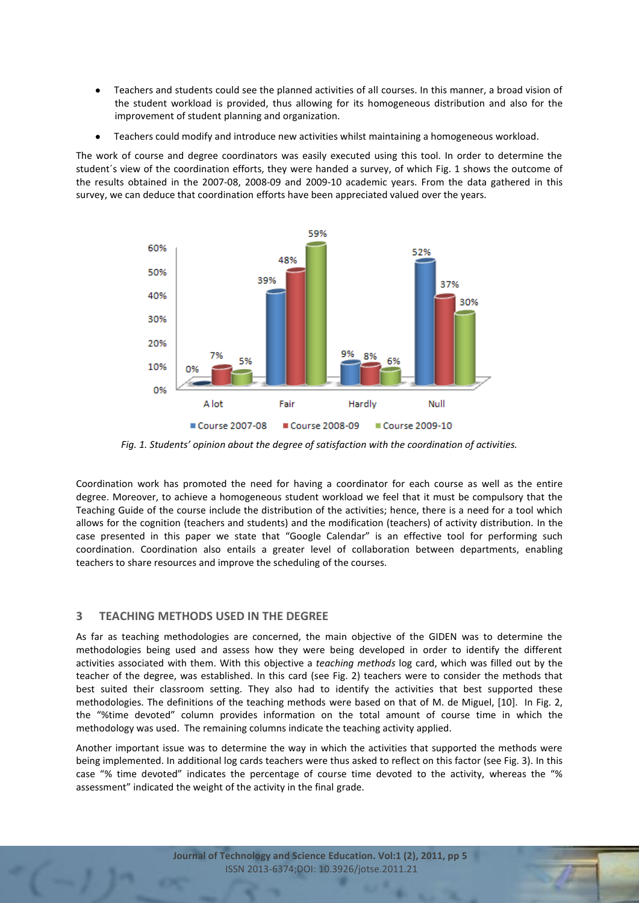- Teachers and students could see the planned activities of all courses. In this manner, a broad vision of the student workload is provided, thus allowing for its homogeneous distribution and also for the improvement of student planning and organization.
- $\bullet$ Teachers could modify and introduce new activities whilst maintaining a homogeneous workload.

The work of course and degree coordinators was easily executed using this tool. In order to determine the student´s view of the coordination efforts, they were handed a survey, of which Fig. 1 shows the outcome of the results obtained in the 2007-08, 2008-09 and 2009-10 academic years. From the data gathered in this survey, we can deduce that coordination efforts have been appreciated valued over the years.



*Fig. 1. Students' opinion about the degree of satisfaction with the coordination of activities.* 

Coordination work has promoted the need for having a coordinator for each course as well as the entire degree. Moreover, to achieve a homogeneous student workload we feel that it must be compulsory that the Teaching Guide of the course include the distribution of the activities; hence, there is a need for a tool which allows for the cognition (teachers and students) and the modification (teachers) of activity distribution. In the case presented in this paper we state that "Google Calendar" is an effective tool for performing such coordination. Coordination also entails a greater level of collaboration between departments, enabling teachers to share resources and improve the scheduling of the courses.

# **3 TEACHING METHODS USED IN THE DEGREE**

As far as teaching methodologies are concerned, the main objective of the GIDEN was to determine the methodologies being used and assess how they were being developed in order to identify the different activities associated with them. With this objective a *teaching methods* log card, which was filled out by the teacher of the degree, was established. In this card (see Fig. 2) teachers were to consider the methods that best suited their classroom setting. They also had to identify the activities that best supported these methodologies. The definitions of the teaching methods were based on that of M. de Miguel, [10]. In Fig. 2, the "%time devoted" column provides information on the total amount of course time in which the methodology was used. The remaining columns indicate the teaching activity applied.

Another important issue was to determine the way in which the activities that supported the methods were being implemented. In additional log cards teachers were thus asked to reflect on this factor (see Fig. 3). In this case "% time devoted" indicates the percentage of course time devoted to the activity, whereas the "% assessment" indicated the weight of the activity in the final grade.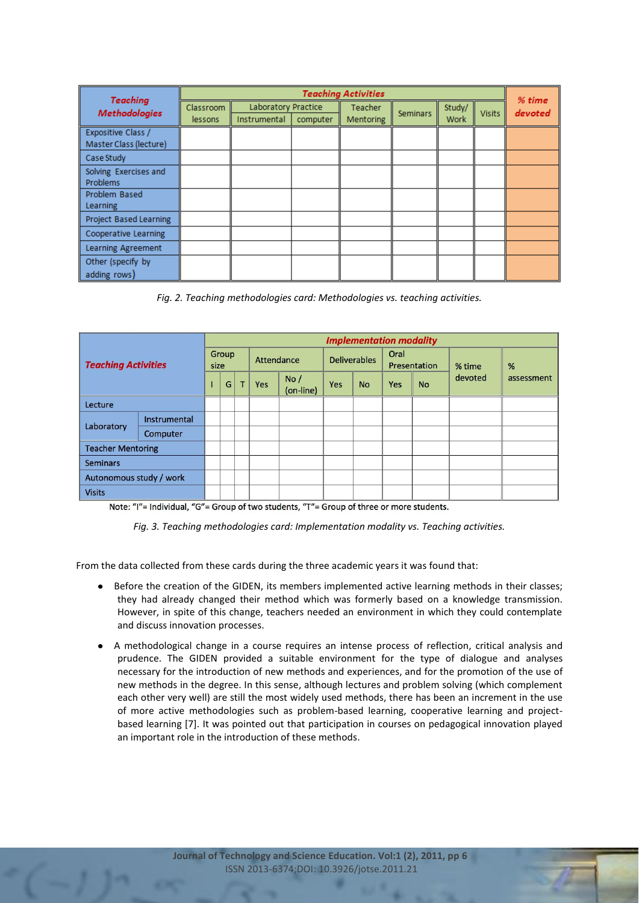| <b>Teaching</b>                              | <b>Teaching Activities</b> |                                     |          |                                    |                 |  |               |                   |  |  |  |  |
|----------------------------------------------|----------------------------|-------------------------------------|----------|------------------------------------|-----------------|--|---------------|-------------------|--|--|--|--|
| <b>Methodologies</b>                         | Classroom<br>lessons       | Laboratory Practice<br>Instrumental | computer | <b>Teacher</b><br><b>Mentoring</b> | <b>Seminars</b> |  | <b>Visits</b> | % time<br>devoted |  |  |  |  |
| Expositive Class /<br>Master Class (lecture) |                            |                                     |          |                                    |                 |  |               |                   |  |  |  |  |
| Case Study                                   |                            |                                     |          |                                    |                 |  |               |                   |  |  |  |  |
| Solving Exercises and<br><b>Problems</b>     |                            |                                     |          |                                    |                 |  |               |                   |  |  |  |  |
| Problem Based<br><b>Learning</b>             |                            |                                     |          |                                    |                 |  |               |                   |  |  |  |  |
| Project Based Learning                       |                            |                                     |          |                                    |                 |  |               |                   |  |  |  |  |
| Cooperative Learning                         |                            |                                     |          |                                    |                 |  |               |                   |  |  |  |  |
| Learning Agreement                           |                            |                                     |          |                                    |                 |  |               |                   |  |  |  |  |
| Other (specify by<br>adding rows)            |                            |                                     |          |                                    |                 |  |               |                   |  |  |  |  |

*Fig. 2. Teaching methodologies card: Methodologies vs. teaching activities.*

| <b>Teaching Activities</b> |              | <b>Implementation modality</b> |   |   |            |                  |                     |           |                      |           |         |            |  |  |
|----------------------------|--------------|--------------------------------|---|---|------------|------------------|---------------------|-----------|----------------------|-----------|---------|------------|--|--|
|                            |              | Group<br>size                  |   |   | Attendance |                  | <b>Deliverables</b> |           | Oral<br>Presentation |           | % time  | %          |  |  |
|                            |              |                                | G | т | <b>Yes</b> | No/<br>(on-line) | Yes                 | <b>No</b> | <b>Yes</b>           | <b>No</b> | devoted | assessment |  |  |
| <b>Lecture</b>             |              |                                |   |   |            |                  |                     |           |                      |           |         |            |  |  |
| Laboratory                 | Instrumental |                                |   |   |            |                  |                     |           |                      |           |         |            |  |  |
|                            | Computer     |                                |   |   |            |                  |                     |           |                      |           |         |            |  |  |
| <b>Teacher Mentoring</b>   |              |                                |   |   |            |                  |                     |           |                      |           |         |            |  |  |
| <b>Seminars</b>            |              |                                |   |   |            |                  |                     |           |                      |           |         |            |  |  |
| Autonomous study / work    |              |                                |   |   |            |                  |                     |           |                      |           |         |            |  |  |
| <b>Visits</b>              |              |                                |   |   |            |                  |                     |           |                      |           |         |            |  |  |

Note: "I"= Individual, "G"= Group of two students, "T"= Group of three or more students.

*Fig. 3. Teaching methodologies card: Implementation modality vs. Teaching activities.*

From the data collected from these cards during the three academic years it was found that:

- Before the creation of the GIDEN, its members implemented active learning methods in their classes;  $\bullet$ they had already changed their method which was formerly based on a knowledge transmission. However, in spite of this change, teachers needed an environment in which they could contemplate and discuss innovation processes.
- A methodological change in a course requires an intense process of reflection, critical analysis and  $\bullet$ prudence. The GIDEN provided a suitable environment for the type of dialogue and analyses necessary for the introduction of new methods and experiences, and for the promotion of the use of new methods in the degree. In this sense, although lectures and problem solving (which complement each other very well) are still the most widely used methods, there has been an increment in the use of more active methodologies such as problem-based learning, cooperative learning and projectbased learning [7]. It was pointed out that participation in courses on pedagogical innovation played an important role in the introduction of these methods.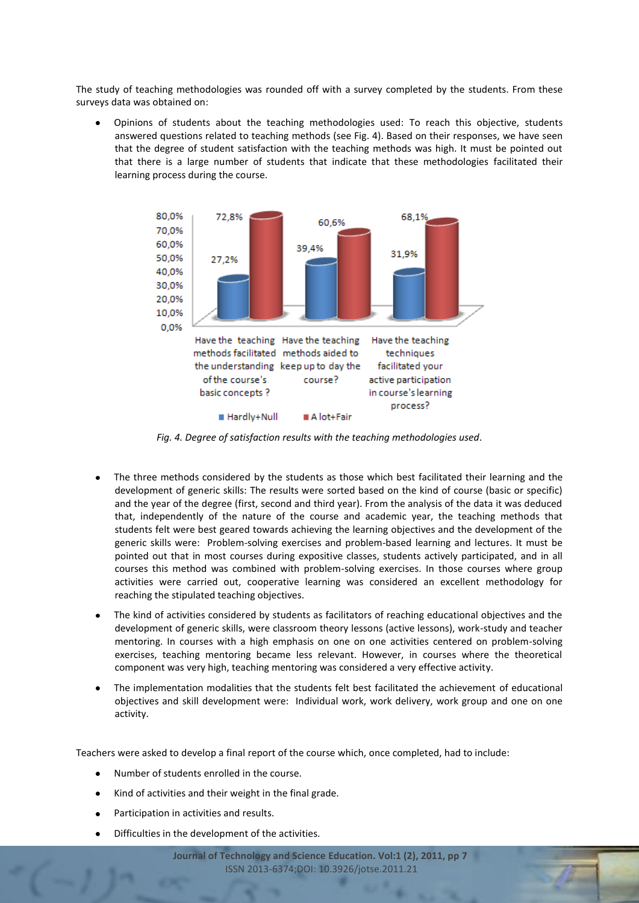The study of teaching methodologies was rounded off with a survey completed by the students. From these surveys data was obtained on:

Opinions of students about the teaching methodologies used: To reach this objective, students answered questions related to teaching methods (see Fig. 4). Based on their responses, we have seen that the degree of student satisfaction with the teaching methods was high. It must be pointed out that there is a large number of students that indicate that these methodologies facilitated their learning process during the course.



*Fig. 4. Degree of satisfaction results with the teaching methodologies used.*

- The three methods considered by the students as those which best facilitated their learning and the development of generic skills: The results were sorted based on the kind of course (basic or specific) and the year of the degree (first, second and third year). From the analysis of the data it was deduced that, independently of the nature of the course and academic year, the teaching methods that students felt were best geared towards achieving the learning objectives and the development of the generic skills were: Problem-solving exercises and problem-based learning and lectures. It must be pointed out that in most courses during expositive classes, students actively participated, and in all courses this method was combined with problem-solving exercises. In those courses where group activities were carried out, cooperative learning was considered an excellent methodology for reaching the stipulated teaching objectives.
- The kind of activities considered by students as facilitators of reaching educational objectives and the development of generic skills, were classroom theory lessons (active lessons), work-study and teacher mentoring. In courses with a high emphasis on one on one activities centered on problem-solving exercises, teaching mentoring became less relevant. However, in courses where the theoretical component was very high, teaching mentoring was considered a very effective activity.
- The implementation modalities that the students felt best facilitated the achievement of educational objectives and skill development were: Individual work, work delivery, work group and one on one activity.

Teachers were asked to develop a final report of the course which, once completed, had to include:

- Number of students enrolled in the course.
- $\bullet$ Kind of activities and their weight in the final grade.
- Participation in activities and results.
- Difficulties in the development of the activities.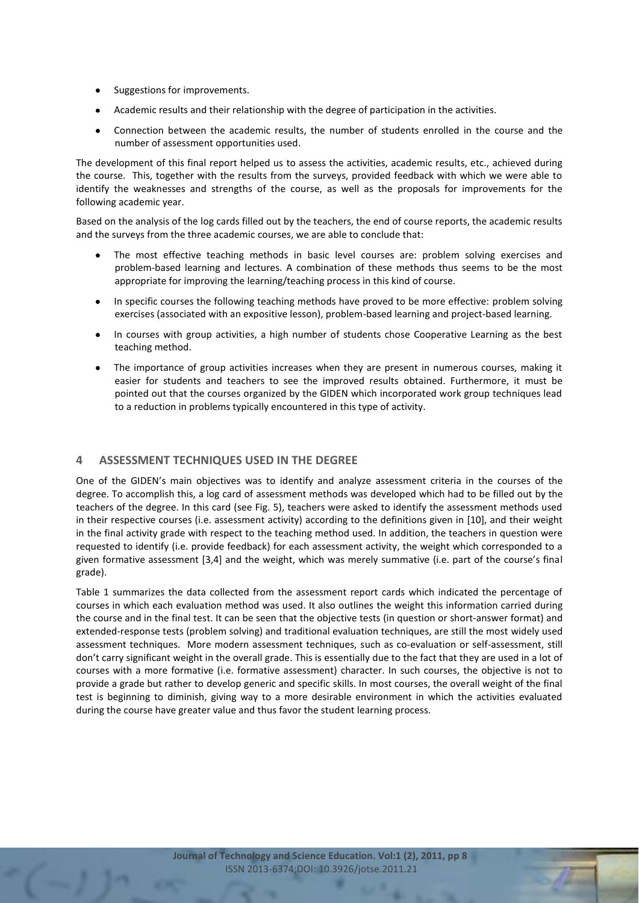- Suggestions for improvements.
- Academic results and their relationship with the degree of participation in the activities.
- Connection between the academic results, the number of students enrolled in the course and the  $\bullet$ number of assessment opportunities used.

The development of this final report helped us to assess the activities, academic results, etc., achieved during the course. This, together with the results from the surveys, provided feedback with which we were able to identify the weaknesses and strengths of the course, as well as the proposals for improvements for the following academic year.

Based on the analysis of the log cards filled out by the teachers, the end of course reports, the academic results and the surveys from the three academic courses, we are able to conclude that:

- The most effective teaching methods in basic level courses are: problem solving exercises and problem-based learning and lectures. A combination of these methods thus seems to be the most appropriate for improving the learning/teaching process in this kind of course.
- In specific courses the following teaching methods have proved to be more effective: problem solving exercises (associated with an expositive lesson), problem-based learning and project-based learning.
- In courses with group activities, a high number of students chose Cooperative Learning as the best teaching method.
- The importance of group activities increases when they are present in numerous courses, making it easier for students and teachers to see the improved results obtained. Furthermore, it must be pointed out that the courses organized by the GIDEN which incorporated work group techniques lead to a reduction in problems typically encountered in this type of activity.

# **4 ASSESSMENT TECHNIQUES USED IN THE DEGREE**

One of the GIDEN's main objectives was to identify and analyze assessment criteria in the courses of the degree. To accomplish this, a log card of assessment methods was developed which had to be filled out by the teachers of the degree. In this card (see Fig. 5), teachers were asked to identify the assessment methods used in their respective courses (i.e. assessment activity) according to the definitions given in [10], and their weight in the final activity grade with respect to the teaching method used. In addition, the teachers in question were requested to identify (i.e. provide feedback) for each assessment activity, the weight which corresponded to a given formative assessment [3,4] and the weight, which was merely summative (i.e. part of the course's final grade).

Table 1 summarizes the data collected from the assessment report cards which indicated the percentage of courses in which each evaluation method was used. It also outlines the weight this information carried during the course and in the final test. It can be seen that the objective tests (in question or short-answer format) and extended-response tests (problem solving) and traditional evaluation techniques, are still the most widely used assessment techniques. More modern assessment techniques, such as co-evaluation or self-assessment, still don't carry significant weight in the overall grade. This is essentially due to the fact that they are used in a lot of courses with a more formative (i.e. formative assessment) character. In such courses, the objective is not to provide a grade but rather to develop generic and specific skills. In most courses, the overall weight of the final test is beginning to diminish, giving way to a more desirable environment in which the activities evaluated during the course have greater value and thus favor the student learning process.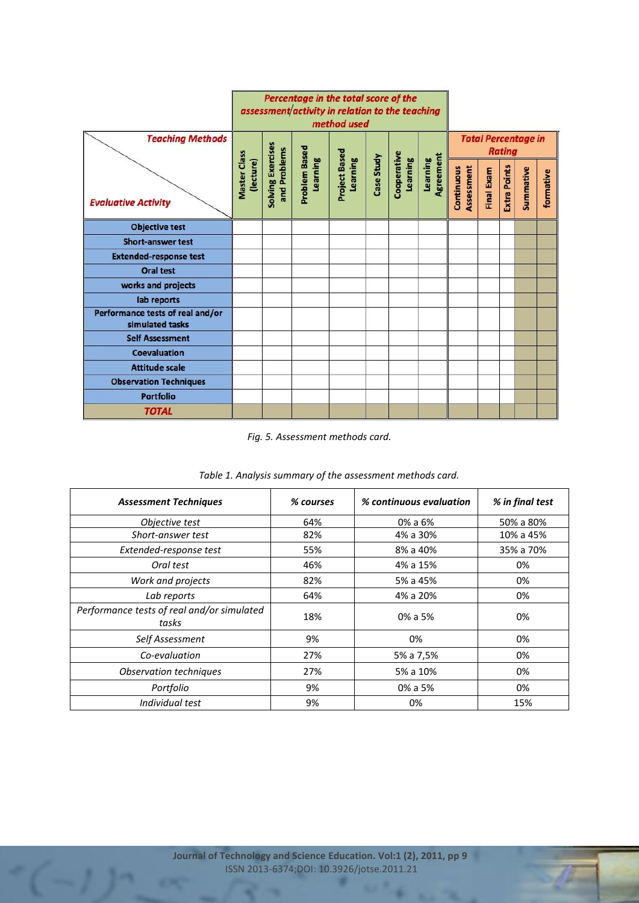|                                                     | Percentage in the total score of the<br>assessment/activity in relation to the teaching<br>method used |                                   |                                  |                                  |            |                         |                       |                          |            |               |                            |           |
|-----------------------------------------------------|--------------------------------------------------------------------------------------------------------|-----------------------------------|----------------------------------|----------------------------------|------------|-------------------------|-----------------------|--------------------------|------------|---------------|----------------------------|-----------|
| <b>Teaching Methods</b>                             |                                                                                                        |                                   |                                  |                                  |            |                         |                       |                          |            | <b>Rating</b> | <b>Total Percentage in</b> |           |
| <b>Evaluative Activity</b>                          | Master Class<br>(lecture)                                                                              | Solving Exercises<br>and Problems | <b>Problem Based</b><br>Learning | <b>Project Based</b><br>Learning | Case Study | Cooperative<br>Learning | Agreement<br>Learning | Assessment<br>Continuous | Final Exam | Extra Points  | Summative                  | formative |
| <b>Objective test</b>                               |                                                                                                        |                                   |                                  |                                  |            |                         |                       |                          |            |               |                            |           |
| <b>Short-answer test</b>                            |                                                                                                        |                                   |                                  |                                  |            |                         |                       |                          |            |               |                            |           |
| <b>Extended-response test</b>                       |                                                                                                        |                                   |                                  |                                  |            |                         |                       |                          |            |               |                            |           |
| <b>Oral test</b>                                    |                                                                                                        |                                   |                                  |                                  |            |                         |                       |                          |            |               |                            |           |
| works and projects                                  |                                                                                                        |                                   |                                  |                                  |            |                         |                       |                          |            |               |                            |           |
| lab reports                                         |                                                                                                        |                                   |                                  |                                  |            |                         |                       |                          |            |               |                            |           |
| Performance tests of real and/or<br>simulated tasks |                                                                                                        |                                   |                                  |                                  |            |                         |                       |                          |            |               |                            |           |
| <b>Self Assessment</b>                              |                                                                                                        |                                   |                                  |                                  |            |                         |                       |                          |            |               |                            |           |
| <b>Coevaluation</b>                                 |                                                                                                        |                                   |                                  |                                  |            |                         |                       |                          |            |               |                            |           |
| <b>Attitude scale</b>                               |                                                                                                        |                                   |                                  |                                  |            |                         |                       |                          |            |               |                            |           |
| <b>Observation Techniques</b>                       |                                                                                                        |                                   |                                  |                                  |            |                         |                       |                          |            |               |                            |           |
| <b>Portfolio</b>                                    |                                                                                                        |                                   |                                  |                                  |            |                         |                       |                          |            |               |                            |           |
| <b>TOTAL</b>                                        |                                                                                                        |                                   |                                  |                                  |            |                         |                       |                          |            |               |                            |           |

*Fig. 5. Assessment methods card.*

| <b>Assessment Techniques</b>                        | % courses | % continuous evaluation | % in final test |
|-----------------------------------------------------|-----------|-------------------------|-----------------|
| Objective test                                      | 64%       | 0% a 6%                 | 50% a 80%       |
| Short-answer test                                   | 82%       | 4% a 30%                | 10% a 45%       |
| Extended-response test                              | 55%       | 8% a 40%                | 35% a 70%       |
| Oral test                                           | 46%       | 4% a 15%                | 0%              |
| Work and projects                                   | 82%       | 5% a 45%                | 0%              |
| Lab reports                                         | 64%       | 4% a 20%                | 0%              |
| Performance tests of real and/or simulated<br>tasks | 18%       | $0\%$ a 5%              | 0%              |
| Self Assessment                                     | 9%        | 0%                      | 0%              |
| Co-evaluation                                       | 27%       | 5% a 7,5%               | 0%              |
| Observation techniques                              | 27%       | 5% a 10%                | 0%              |
| Portfolio                                           | 9%        | 0% a 5%                 | 0%              |
| Individual test                                     | 9%        | 0%                      | 15%             |

| Table 1. Analysis summary of the assessment methods card. |  |
|-----------------------------------------------------------|--|
|-----------------------------------------------------------|--|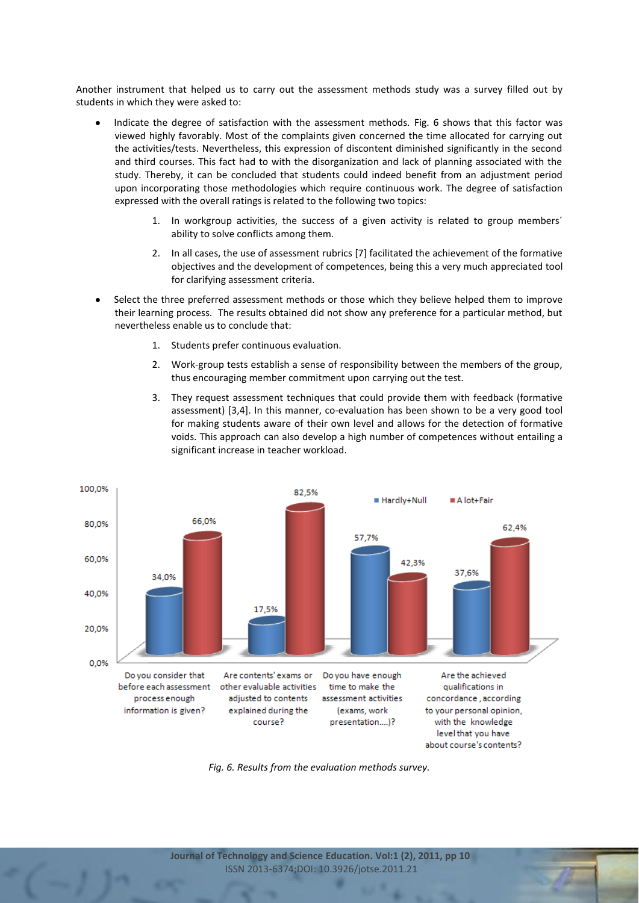Another instrument that helped us to carry out the assessment methods study was a survey filled out by students in which they were asked to:

- Indicate the degree of satisfaction with the assessment methods. Fig. 6 shows that this factor was viewed highly favorably. Most of the complaints given concerned the time allocated for carrying out the activities/tests. Nevertheless, this expression of discontent diminished significantly in the second and third courses. This fact had to with the disorganization and lack of planning associated with the study. Thereby, it can be concluded that students could indeed benefit from an adjustment period upon incorporating those methodologies which require continuous work. The degree of satisfaction expressed with the overall ratings is related to the following two topics:
	- 1. In workgroup activities, the success of a given activity is related to group members´ ability to solve conflicts among them.
	- 2. In all cases, the use of assessment rubrics [7] facilitated the achievement of the formative objectives and the development of competences, being this a very much appreciated tool for clarifying assessment criteria.
- Select the three preferred assessment methods or those which they believe helped them to improve their learning process. The results obtained did not show any preference for a particular method, but nevertheless enable us to conclude that:
	- 1. Students prefer continuous evaluation.
	- 2. Work-group tests establish a sense of responsibility between the members of the group, thus encouraging member commitment upon carrying out the test.
	- 3. They request assessment techniques that could provide them with feedback (formative assessment) [3,4]. In this manner, co-evaluation has been shown to be a very good tool for making students aware of their own level and allows for the detection of formative voids. This approach can also develop a high number of competences without entailing a significant increase in teacher workload.



*Fig. 6. Results from the evaluation methods survey.*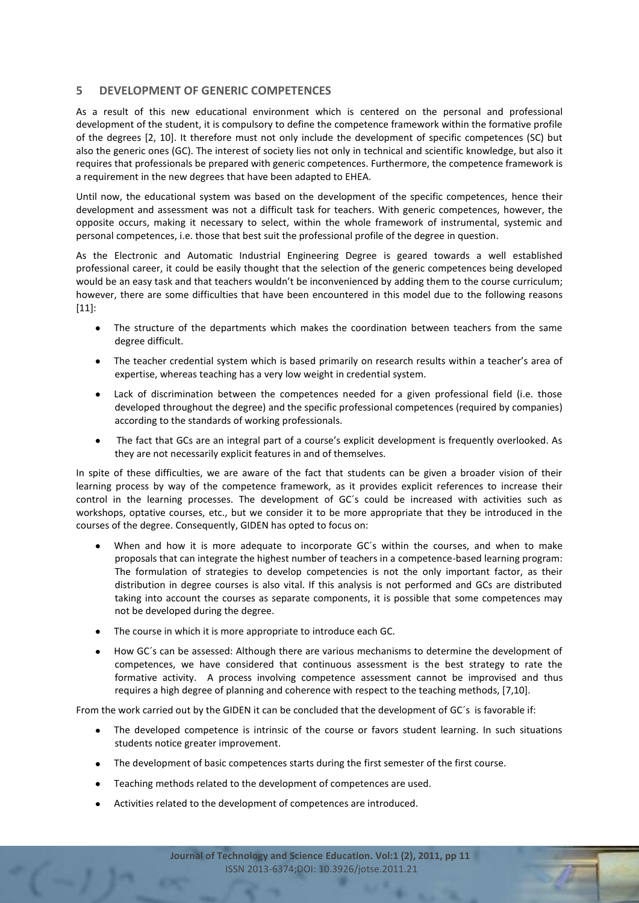# **5 DEVELOPMENT OF GENERIC COMPETENCES**

As a result of this new educational environment which is centered on the personal and professional development of the student, it is compulsory to define the competence framework within the formative profile of the degrees [2, 10]. It therefore must not only include the development of specific competences (SC) but also the generic ones (GC). The interest of society lies not only in technical and scientific knowledge, but also it requires that professionals be prepared with generic competences. Furthermore, the competence framework is a requirement in the new degrees that have been adapted to EHEA.

Until now, the educational system was based on the development of the specific competences, hence their development and assessment was not a difficult task for teachers. With generic competences, however, the opposite occurs, making it necessary to select, within the whole framework of instrumental, systemic and personal competences, i.e. those that best suit the professional profile of the degree in question.

As the Electronic and Automatic Industrial Engineering Degree is geared towards a well established professional career, it could be easily thought that the selection of the generic competences being developed would be an easy task and that teachers wouldn't be inconvenienced by adding them to the course curriculum; however, there are some difficulties that have been encountered in this model due to the following reasons [11]:

- The structure of the departments which makes the coordination between teachers from the same degree difficult.
- The teacher credential system which is based primarily on research results within a teacher's area of expertise, whereas teaching has a very low weight in credential system.
- Lack of discrimination between the competences needed for a given professional field (i.e. those developed throughout the degree) and the specific professional competences (required by companies) according to the standards of working professionals.
- The fact that GCs are an integral part of a course's explicit development is frequently overlooked. As they are not necessarily explicit features in and of themselves.

In spite of these difficulties, we are aware of the fact that students can be given a broader vision of their learning process by way of the competence framework, as it provides explicit references to increase their control in the learning processes. The development of GC´s could be increased with activities such as workshops, optative courses, etc., but we consider it to be more appropriate that they be introduced in the courses of the degree. Consequently, GIDEN has opted to focus on:

- When and how it is more adequate to incorporate GC´s within the courses, and when to make proposals that can integrate the highest number of teachers in a competence-based learning program: The formulation of strategies to develop competencies is not the only important factor, as their distribution in degree courses is also vital. If this analysis is not performed and GCs are distributed taking into account the courses as separate components, it is possible that some competences may not be developed during the degree.
- The course in which it is more appropriate to introduce each GC.
- How GC´s can be assessed: Although there are various mechanisms to determine the development of competences, we have considered that continuous assessment is the best strategy to rate the formative activity. A process involving competence assessment cannot be improvised and thus requires a high degree of planning and coherence with respect to the teaching methods, [7,10].

From the work carried out by the GIDEN it can be concluded that the development of GC´s is favorable if:

- The developed competence is intrinsic of the course or favors student learning. In such situations students notice greater improvement.
- The development of basic competences starts during the first semester of the first course.
- Teaching methods related to the development of competences are used.
- Activities related to the development of competences are introduced.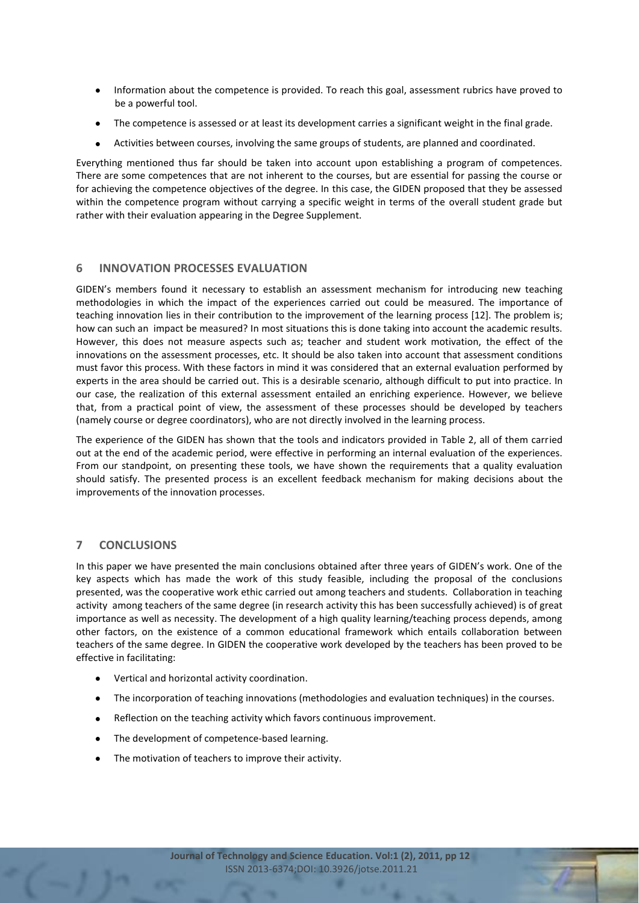- Information about the competence is provided. To reach this goal, assessment rubrics have proved to be a powerful tool.
- The competence is assessed or at least its development carries a significant weight in the final grade.
- Activities between courses, involving the same groups of students, are planned and coordinated.

Everything mentioned thus far should be taken into account upon establishing a program of competences. There are some competences that are not inherent to the courses, but are essential for passing the course or for achieving the competence objectives of the degree. In this case, the GIDEN proposed that they be assessed within the competence program without carrying a specific weight in terms of the overall student grade but rather with their evaluation appearing in the Degree Supplement.

### **6 INNOVATION PROCESSES EVALUATION**

GIDEN's members found it necessary to establish an assessment mechanism for introducing new teaching methodologies in which the impact of the experiences carried out could be measured. The importance of teaching innovation lies in their contribution to the improvement of the learning process [12]. The problem is; how can such an impact be measured? In most situations this is done taking into account the academic results. However, this does not measure aspects such as; teacher and student work motivation, the effect of the innovations on the assessment processes, etc. It should be also taken into account that assessment conditions must favor this process. With these factors in mind it was considered that an external evaluation performed by experts in the area should be carried out. This is a desirable scenario, although difficult to put into practice. In our case, the realization of this external assessment entailed an enriching experience. However, we believe that, from a practical point of view, the assessment of these processes should be developed by teachers (namely course or degree coordinators), who are not directly involved in the learning process.

The experience of the GIDEN has shown that the tools and indicators provided in Table 2, all of them carried out at the end of the academic period, were effective in performing an internal evaluation of the experiences. From our standpoint, on presenting these tools, we have shown the requirements that a quality evaluation should satisfy. The presented process is an excellent feedback mechanism for making decisions about the improvements of the innovation processes.

# **7 CONCLUSIONS**

In this paper we have presented the main conclusions obtained after three years of GIDEN's work. One of the key aspects which has made the work of this study feasible, including the proposal of the conclusions presented, was the cooperative work ethic carried out among teachers and students. Collaboration in teaching activity among teachers of the same degree (in research activity this has been successfully achieved) is of great importance as well as necessity. The development of a high quality learning/teaching process depends, among other factors, on the existence of a common educational framework which entails collaboration between teachers of the same degree. In GIDEN the cooperative work developed by the teachers has been proved to be effective in facilitating:

- Vertical and horizontal activity coordination.
- The incorporation of teaching innovations (methodologies and evaluation techniques) in the courses.
- $\bullet$ Reflection on the teaching activity which favors continuous improvement.
- The development of competence-based learning.
- The motivation of teachers to improve their activity.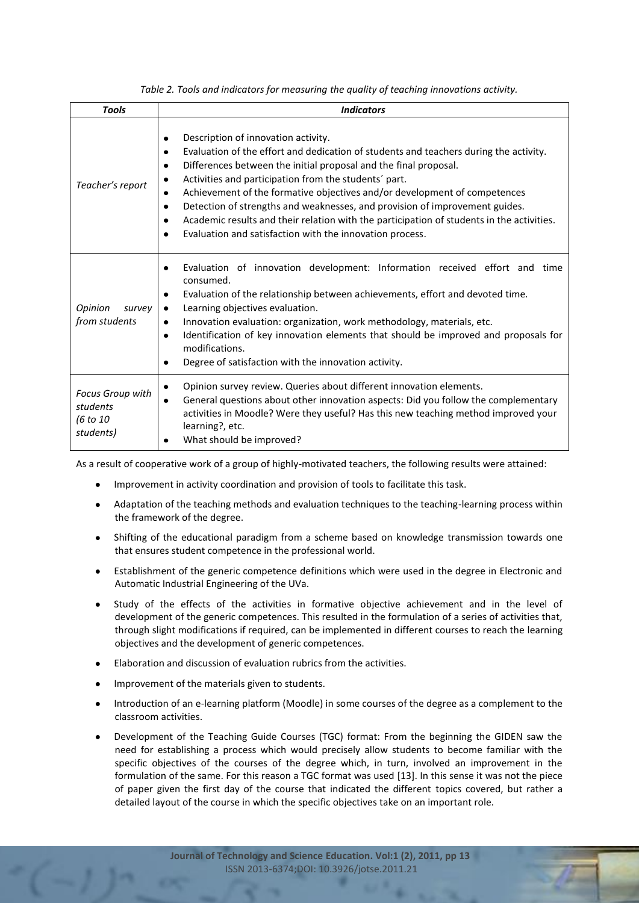| <b>Tools</b>                                          | <b>Indicators</b>                                                                                                                                                                                                                                                                                                                                                                                                                                                                                                                                                                                                                              |
|-------------------------------------------------------|------------------------------------------------------------------------------------------------------------------------------------------------------------------------------------------------------------------------------------------------------------------------------------------------------------------------------------------------------------------------------------------------------------------------------------------------------------------------------------------------------------------------------------------------------------------------------------------------------------------------------------------------|
| Teacher's report                                      | Description of innovation activity.<br>٠<br>Evaluation of the effort and dedication of students and teachers during the activity.<br>$\bullet$<br>Differences between the initial proposal and the final proposal.<br>٠<br>Activities and participation from the students' part.<br>٠<br>Achievement of the formative objectives and/or development of competences<br>٠<br>Detection of strengths and weaknesses, and provision of improvement guides.<br>$\bullet$<br>Academic results and their relation with the participation of students in the activities.<br>٠<br>Evaluation and satisfaction with the innovation process.<br>$\bullet$ |
| Opinion<br>survey<br>from students                    | Evaluation of innovation development: Information received effort and time<br>$\bullet$<br>consumed.<br>Evaluation of the relationship between achievements, effort and devoted time.<br>٠<br>Learning objectives evaluation.<br>٠<br>Innovation evaluation: organization, work methodology, materials, etc.<br>٠<br>Identification of key innovation elements that should be improved and proposals for<br>$\bullet$<br>modifications.<br>Degree of satisfaction with the innovation activity.<br>٠                                                                                                                                           |
| Focus Group with<br>students<br>(6 to 10<br>students) | Opinion survey review. Queries about different innovation elements.<br>$\bullet$<br>General questions about other innovation aspects: Did you follow the complementary<br>$\bullet$<br>activities in Moodle? Were they useful? Has this new teaching method improved your<br>learning?, etc.<br>What should be improved?<br>٠                                                                                                                                                                                                                                                                                                                  |

*Table 2. Tools and indicators for measuring the quality of teaching innovations activity.*

As a result of cooperative work of a group of highly-motivated teachers, the following results were attained:

- Improvement in activity coordination and provision of tools to facilitate this task.
- Adaptation of the teaching methods and evaluation techniques to the teaching-learning process within  $\bullet$ the framework of the degree.
- Shifting of the educational paradigm from a scheme based on knowledge transmission towards one that ensures student competence in the professional world.
- Establishment of the generic competence definitions which were used in the degree in Electronic and Automatic Industrial Engineering of the UVa.
- Study of the effects of the activities in formative objective achievement and in the level of development of the generic competences. This resulted in the formulation of a series of activities that, through slight modifications if required, can be implemented in different courses to reach the learning objectives and the development of generic competences.
- Elaboration and discussion of evaluation rubrics from the activities.
- Improvement of the materials given to students.
- Introduction of an e-learning platform (Moodle) in some courses of the degree as a complement to the classroom activities.
- Development of the Teaching Guide Courses (TGC) format: From the beginning the GIDEN saw the need for establishing a process which would precisely allow students to become familiar with the specific objectives of the courses of the degree which, in turn, involved an improvement in the formulation of the same. For this reason a TGC format was used [13]. In this sense it was not the piece of paper given the first day of the course that indicated the different topics covered, but rather a detailed layout of the course in which the specific objectives take on an important role.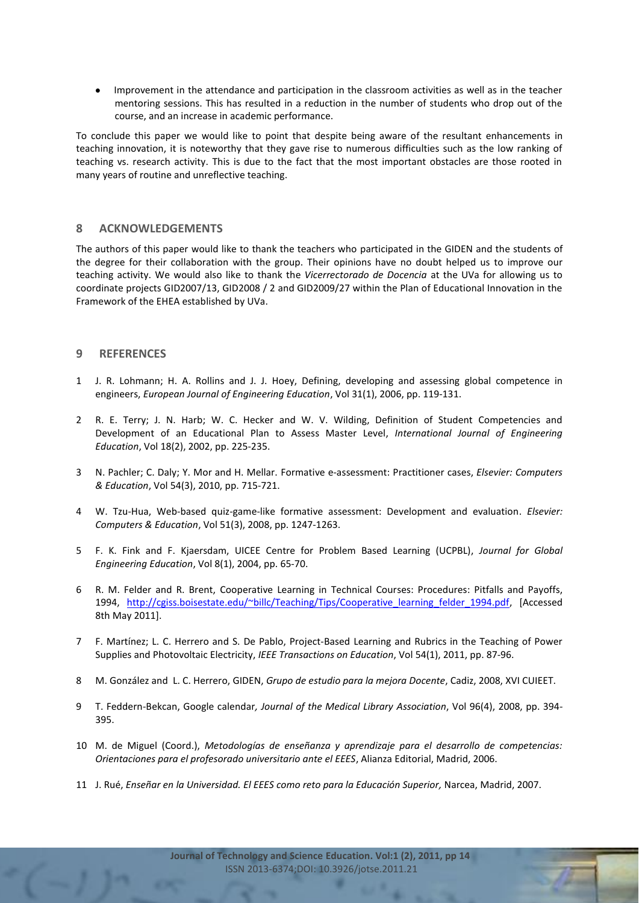Improvement in the attendance and participation in the classroom activities as well as in the teacher mentoring sessions. This has resulted in a reduction in the number of students who drop out of the course, and an increase in academic performance.

To conclude this paper we would like to point that despite being aware of the resultant enhancements in teaching innovation, it is noteworthy that they gave rise to numerous difficulties such as the low ranking of teaching vs. research activity. This is due to the fact that the most important obstacles are those rooted in many years of routine and unreflective teaching.

### **8 ACKNOWLEDGEMENTS**

The authors of this paper would like to thank the teachers who participated in the GIDEN and the students of the degree for their collaboration with the group. Their opinions have no doubt helped us to improve our teaching activity. We would also like to thank the *Vicerrectorado de Docencia* at the UVa for allowing us to coordinate projects GID2007/13, GID2008 / 2 and GID2009/27 within the Plan of Educational Innovation in the Framework of the EHEA established by UVa.

### **9 REFERENCES**

- 1 J. R. Lohmann; H. A. Rollins and J. J. Hoey, Defining, developing and assessing global competence in engineers, *European Journal of Engineering Education*, Vol 31(1), 2006, pp. 119-131.
- 2 R. E. Terry; J. N. Harb; W. C. Hecker and W. V. Wilding, Definition of Student Competencies and Development of an Educational Plan to Assess Master Level, *International Journal of Engineering Education*, Vol 18(2), 2002, pp. 225-235.
- 3 N. Pachler; C. Daly; Y. Mor and H. Mellar. Formative e-assessment: Practitioner cases, *Elsevier: Computers & Education*, Vol 54(3), 2010, pp. 715-721.
- 4 W. Tzu-Hua, Web-based quiz-game-like formative assessment: Development and evaluation. *Elsevier: Computers & Education*, Vol 51(3), 2008, pp. 1247-1263.
- 5 F. K. Fink and F. Kjaersdam, UICEE Centre for Problem Based Learning (UCPBL), *Journal for Global Engineering Education*, Vol 8(1), 2004, pp. 65-70.
- 6 R. M. Felder and R. Brent, Cooperative Learning in Technical Courses: Procedures: Pitfalls and Payoffs, 1994, [http://cgiss.boisestate.edu/~billc/Teaching/Tips/Cooperative\\_learning\\_felder\\_1994.pdf,](http://cgiss.boisestate.edu/~billc/Teaching/Tips/Cooperative_learning_felder_1994.pdf) [Accessed 8th May 2011].
- 7 F. Martínez; L. C. Herrero and S. De Pablo, Project-Based Learning and Rubrics in the Teaching of Power Supplies and Photovoltaic Electricity, *IEEE Transactions on Education*, Vol 54(1), 2011, pp. 87-96.
- 8 M. González and L. C. Herrero, GIDEN, *Grupo de estudio para la mejora Docente*, Cadiz, 2008, XVI CUIEET.
- 9 T. Feddern-Bekcan, Google calendar*, Journal of the Medical Library Association*, Vol 96(4), 2008, pp. 394- 395.
- 10 M. de Miguel (Coord.), *Metodologías de enseñanza y aprendizaje para el desarrollo de competencias: Orientaciones para el profesorado universitario ante el EEES*, Alianza Editorial, Madrid, 2006.
- 11 J. Rué, *Enseñar en la Universidad. El EEES como reto para la Educación Superior,* Narcea, Madrid, 2007.